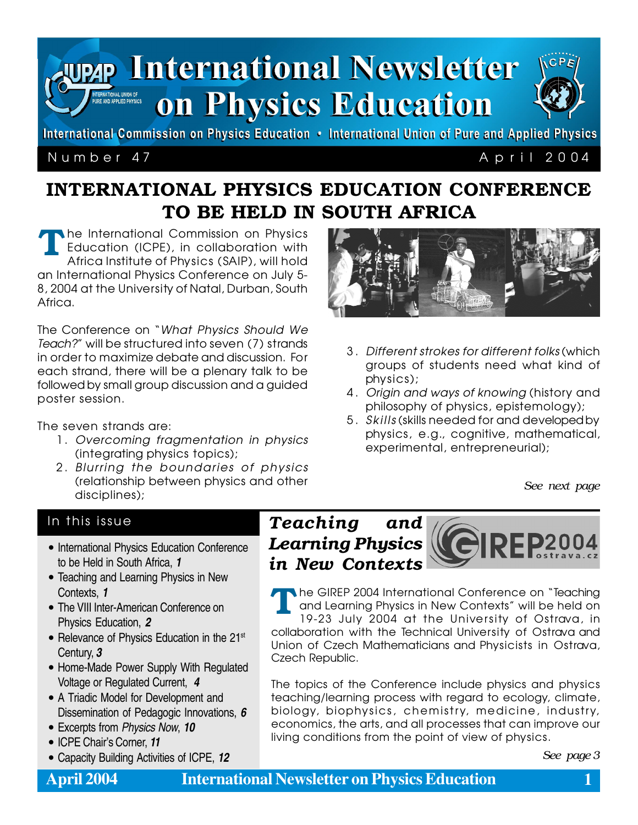

International Commission on Physics Education • International Union of Pure and Applied Physics

## Number 47 A p ril 2004

# INTERNATIONAL PHYSICS EDUCATION CONFERENCE TO BE HELD IN SOUTH AFRICA

he International Commission on Physics Education (ICPE), in collaboration with Africa Institute of Physics (SAIP), will hold an International Physics Conference on July 5- 8, 2004 at the University of Natal, Durban, South Africa. T

The Conference on "What Physics Should We Teach?" will be structured into seven (7) strands in order to maximize debate and discussion. For each strand, there will be a plenary talk to be followed by small group discussion and a guided poster session.

The seven strands are:

- 1. Overcoming fragmentation in physics (integrating physics topics);
- 2. Blurring the boundaries of physics (relationship between physics and other disciplines);



- 3 . Different strokes for different folks (which groups of students need what kind of physics);
- 4 . Origin and ways of knowing (history and philosophy of physics, epistemology);
- 5 . Skills (skills needed for and developed by physics, e.g., cognitive, mathematical, experimental, entrepreneurial);

*See next page*

## In this issue

- International Physics Education Conference to be Held in South Africa, **1**
- Teaching and Learning Physics in New Contexts, **1**
- The VIII Inter-American Conference on Physics Education, **2**
- Relevance of Physics Education in the 21<sup>st</sup> Century, **3**
- Home-Made Power Supply With Regulated Voltage or Regulated Current, **4**
- A Triadic Model for Development and Dissemination of Pedagogic Innovations, **6**
- Excerpts from Physics Now, **10**
- ICPE Chair's Corner, **11**
- Capacity Building Activities of ICPE, **12** *See page 3*

# *Teaching and Learning Physics in New Contexts*

he GIREP 2004 International Conference on "Teaching and Learning Physics in New Contexts" will be held on 19-23 July 2004 at the University of Ostrava, in collaboration with the Technical University of Ostrava and Union of Czech Mathematicians and Physicists in Ostrava, Czech Republic. T

The topics of the Conference include physics and physics teaching/learning process with regard to ecology, climate, biology, biophysics, chemistry, medicine, industry, economics, the arts, and all processes that can improve our living conditions from the point of view of physics.

# **April 2004 International Newsletter on Physics Education 1**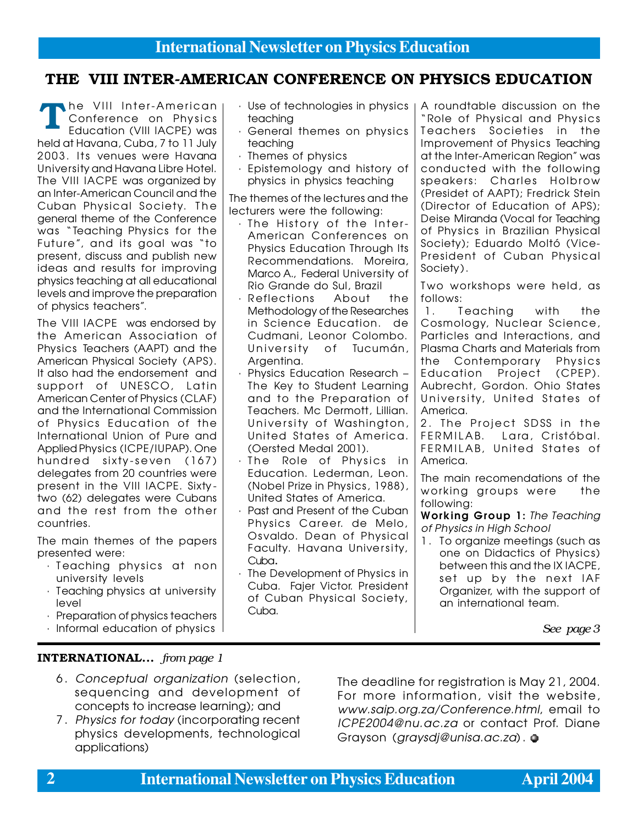## THE VIII INTER-AMERICAN CONFERENCE ON PHYSICS EDUCATION

The VIII Inter-American<br>Conference on Physics<br>Education (VIII IACPE) was Conference on Physics Education (VIII IACPE) was held at Havana, Cuba, 7 to 11 July 2003. Its venues were Havana University and Havana Libre Hotel. The VIII IACPE was organized by an Inter-American Council and the Cuban Physical Society. The general theme of the Conference was "Teaching Physics for the Future", and its goal was "to present, discuss and publish new ideas and results for improving physics teaching at all educational levels and improve the preparation of physics teachers".

The VIII IACPE was endorsed by the American Association of Physics Teachers (AAPT) and the American Physical Society (APS). It also had the endorsement and support of UNESCO, Latin American Center of Physics (CLAF) and the International Commission of Physics Education of the International Union of Pure and Applied Physics (ICPE/IUPAP). One hundred sixty-seven (167) delegates from 20 countries were present in the VIII IACPE. Sixty two (62) delegates were Cubans and the rest from the other countries.

The main themes of the papers presented were:

- · Teaching physics at non university levels
- · Teaching physics at university level
- · Preparation of physics teachers
- · Informal education of physics
- teaching
- · General themes on physics teaching
- · Themes of physics
- · Epistemology and history of physics in physics teaching

The themes of the lectures and the lecturers were the following:

- · The History of the Inter-American Conferences on Physics Education Through Its Recommendations. Moreira, Marco A., Federal University of Rio Grande do Sul, Brazil
- Reflections About the Methodology of the Researches in Science Education. de Cudmani, Leonor Colombo. University of Tucumán, Argentina.
- Physics Education Research -The Key to Student Learning and to the Preparation of Teachers. Mc Dermott, Lillian. University of Washington, United States of America. (Oersted Medal 2001).
- · The Role of Physics in Education. Lederman, Leon. (Nobel Prize in Physics, 1988), United States of America.
- · Past and Present of the Cuban Physics Career. de Melo, Osvaldo. Dean of Physical Faculty. Havana University, Cuba.
- · The Development of Physics in Cuba. Fajer Victor. President of Cuban Physical Society, Cuba.

 $\cdot$  Use of technologies in physics  $\vert$  A roundtable discussion on the "Role of Physical and Physics Teachers Societies in the Improvement of Physics Teaching at the Inter-American Region" was conducted with the following speakers: Charles Holbrow (Presidet of AAPT); Fredrick Stein (Director of Education of APS); Deise Miranda (Vocal for Teaching of Physics in Brazilian Physical Society); Eduardo Moltó (Vice-President of Cuban Physical Society).

> Two workshops were held, as follows:

1. Teaching with the Cosmology, Nuclear Science, Particles and Interactions, and Plasma Charts and Materials from the Contemporary Physics Education Project (CPEP). Aubrecht, Gordon. Ohio States University, United States of America.

2. The Project SDSS in the FERMILAB. Lara, Cristóbal. FERMILAB, United States of America.

The main recomendations of the working groups were the following:

Working Group 1: The Teaching of Physics in High School

1. To organize meetings (such as one on Didactics of Physics) between this and the IX IACPE, set up by the next IAF Organizer, with the support of an international team.

*See page 3*

### INTERNATIONAL... *from page 1*

- 6 . Conceptual organization (selection, sequencing and development of concepts to increase learning); and
- 7 . Physics for today (incorporating recent physics developments, technological applications)

The deadline for registration is May 21, 2004. For more information, visit the website, www.saip.org.za/Conference.html, email to ICPE2004@nu.ac.za or contact Prof. Diane Grayson (graysdj@unisa.ac.za).  $\bullet$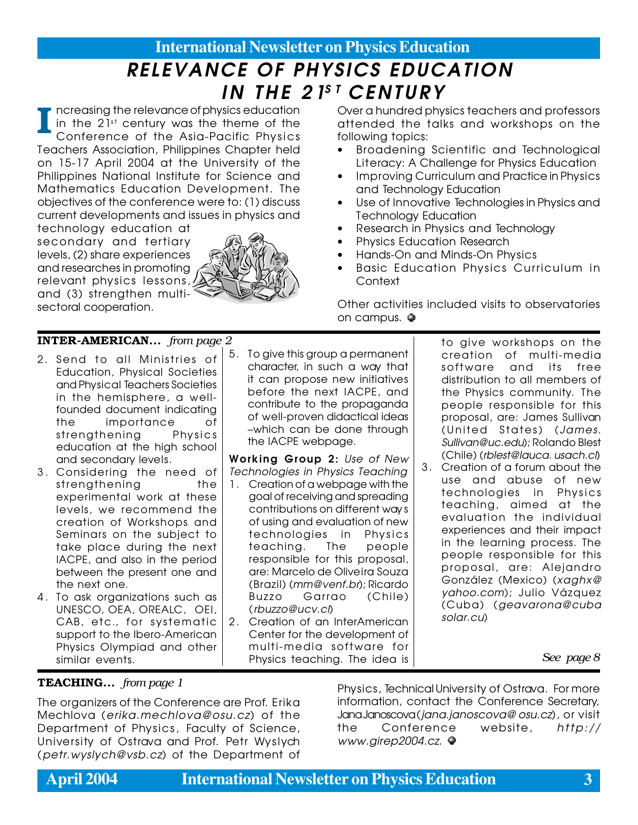# RELEVANCE OF PHYSICS EDUCATION IN THE 21ST CENTURY

ncreasing the relevance of physics education in the  $21^{st}$  century was the theme of the Conference of the Asia-Pacific Physics Teachers Association, Philippines Chapter held on 15-17 April 2004 at the University of the Philippines National Institute for Science and Mathematics Education Development. The objectives of the conference were to: (1) discuss current developments and issues in physics and I

technology education at secondary and tertiary levels, (2) share experiences and researches in promoting relevant physics lessons, and (3) strengthen multisectoral cooperation.



Over a hundred physics teachers and professors attended the talks and workshops on the following topics:

- Broadening Scientific and Technological Literacy: A Challenge for Physics Education
- Improving Curriculum and Practice in Physics and Technology Education
- Use of Innovative Technologies in Physics and Technology Education
- Research in Physics and Technology
- Physics Education Research
- Hands-On and Minds-On Physics
- Basic Education Physics Curriculum in Context

Other activities included visits to observatories on campus.  $\bullet$ 

### INTER-AMERICAN... *from page 2*

- 2 . Send to all Ministries of Education, Physical Societies and Physical Teachers Societies in the hemisphere, a wellfounded document indicating the importance of strengthening Physics education at the high school and secondary levels.
- 3 . Considering the need of strengthening the experimental work at these levels, we recommend the creation of Workshops and Seminars on the subject to take place during the next IACPE, and also in the period between the present one and the next one.
- 4 . To ask organizations such as UNESCO, OEA, OREALC, OEI, CAB, etc., for systematic support to the Ibero-American Physics Olympiad and other similar events.

5 . To give this group a permanent character, in such a way that it can propose new initiatives before the next IACPE, and contribute to the propaganda of well-proven didactical ideas –which can be done through the IACPE webpage.

Working Group 2: Use of New Technologies in Physics Teaching

- 1. Creation of a webpage with the goal of receiving and spreading contributions on different way s of using and evaluation of new technologies in Physics teaching. The people responsible for this proposal, are: Marcelo de Oliveira Souza (Brazil) (mm@venf.br); Ricardo Buzzo Garrao (Chile) (rbuzzo@ucv.cl)
- 2. Creation of an InterAmerican Center for the development of multi-media software for Physics teaching. The idea is

to give workshops on the creation of multi-media software and its free distribution to all members of the Physics community. The people responsible for this proposal, are: James Sullivan (United States) (James. Sullivan@uc.edu); Rolando Blest (Chile) (rblest@lauca. usach.cl)

3 . Creation of a forum about the use and abuse of new technologies in Physics teaching, aimed at the evaluation the individual experiences and their impact in the learning process. The people responsible for this proposal, are: Alejandro González (Mexico) (xaghx@ yahoo.com); Julio Vázquez (Cuba) (geavarona@cuba solar.cu)

*See page 8*

### TEACHING... *from page 1*

The organizers of the Conference are Prof. Erika Mechlova (erika.mechlova@osu.cz) of the Department of Physics, Faculty of Science, University of Ostrava and Prof. Petr Wyslych (petr.wyslych@vsb.cz) of the Department of

Physics, Technical University of Ostrava. For more information, contact the Conference Secretary, Jana Janoscova (jana.janoscova@ osu.cz), or visit the Conference website, http:// www.girep2004.cz. ●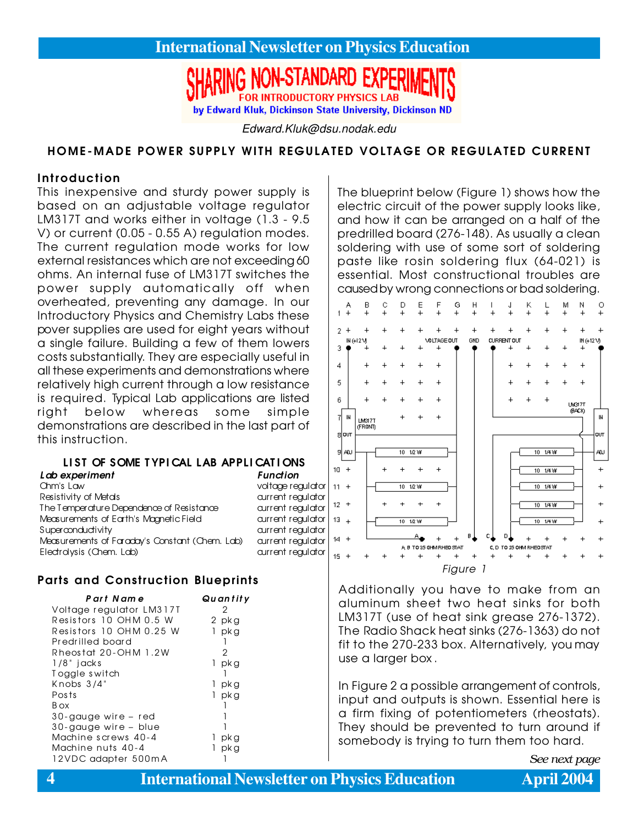# **FOR INTRODUCTORY PHYSICS LAR** by Edward Kluk, Dickinson State University, Dickinson ND

Edward.Kluk@dsu.nodak.edu

### HOME-MADE POWER SUPPLY WITH REGULATED VOLTAGE OR REGULATED CURRENT

### Introduction

This inexpensive and sturdy power supply is based on an adjustable voltage regulator LM317T and works either in voltage (1.3 - 9.5 V) or current (0.05 - 0.55 A) regulation modes. The current regulation mode works for low external resistances which are not exceeding 60 ohms. An internal fuse of LM317T switches the power supply automatically off when overheated, preventing any damage. In our Introductory Physics and Chemistry Labs these pover supplies are used for eight years without a single failure. Building a few of them lowers costs substantially. They are especially useful in all these experiments and demonstrations where relatively high current through a low resistance is required. Typical Lab applications are listed right below whereas some simple demonstrations are described in the last part of this instruction.

### LIST OF SOME TYPICAL LAB APPLICATIONS

| Lab experiment                                 | Function          |
|------------------------------------------------|-------------------|
| Chm's Law                                      | voltage regulator |
| Resistivity of Metals                          | current regulator |
| The Temperature Dependence of Resistance       | current regulator |
| Measurements of Earth's Magnetic Field         | current regulator |
| Superconductivity                              | current regulator |
| Measurements of Faraday's Constant (Chem. Lab) | current regulator |
| Electrolysis (Chem. Lab)                       | current regulator |

### Parts and Construction Blueprints

| Part Name                | Quantity             |
|--------------------------|----------------------|
| Voltage regulator LM317T | 2                    |
| Resistors 10 OHM 0.5 W   | 2 pkg                |
| Resistors 10 OHM 0.25 W  | pk g                 |
| Predrilled board         |                      |
| Rheostat 20-OHM 1.2W     | 2                    |
| $1/8"$ jacks             | pk g<br>1.           |
| Toggle switch            |                      |
| Knobs $3/4$ "            | 1 pkg                |
| Posts                    | $\mathbf{1}$<br>pk g |
| B ox                     |                      |
| 30-gauge wire – red      |                      |
| 30-gauge wire - blue     |                      |
| Machine screws 40-4      | pk g<br>L            |
| Machine nuts 40-4        | pk g                 |
| 12VDC adapter 500mA      |                      |

The blueprint below (Figure 1) shows how the electric circuit of the power supply looks like, and how it can be arranged on a half of the predrilled board (276-148). As usually a clean soldering with use of some sort of soldering paste like rosin soldering flux (64-021) is essential. Most constructional troubles are caused by wrong connections or bad soldering.



Additionally you have to make from an aluminum sheet two heat sinks for both LM317T (use of heat sink grease 276-1372). The Radio Shack heat sinks (276-1363) do not fit to the 270-233 box. Alternatively, you may use a larger box .

In Figure 2 a possible arrangement of controls, input and outputs is shown. Essential here is a firm fixing of potentiometers (rheostats). They should be prevented to turn around if somebody is trying to turn them too hard.

*See next page*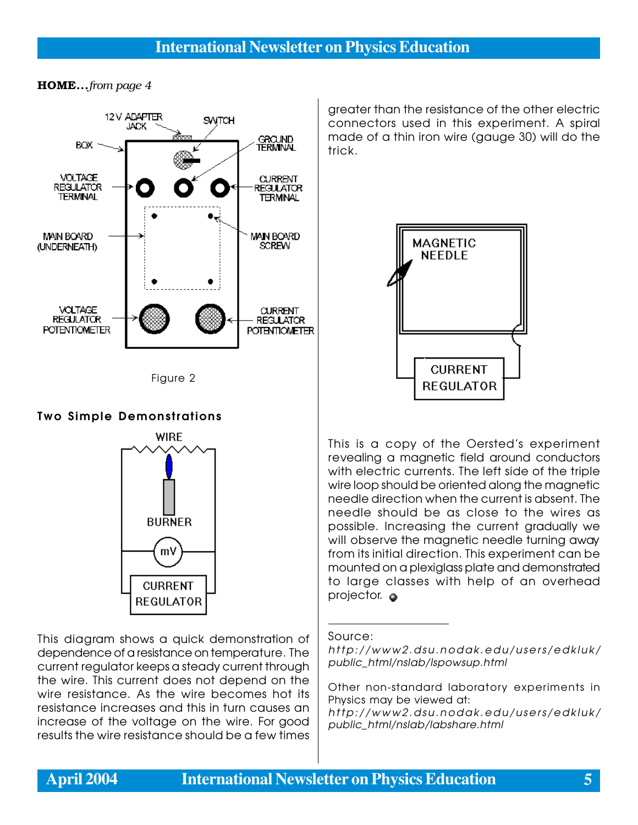### HOME...*from page 4*





## Two Simple Demonstrations



This diagram shows a quick demonstration of dependence of a resistance on temperature. The current regulator keeps a steady current through the wire. This current does not depend on the wire resistance. As the wire becomes hot its resistance increases and this in turn causes an increase of the voltage on the wire. For good results the wire resistance should be a few times

greater than the resistance of the other electric connectors used in this experiment. A spiral made of a thin iron wire (gauge 30) will do the trick.



This is a copy of the Oersted's experiment revealing a magnetic field around conductors with electric currents. The left side of the triple wire loop should be oriented along the magnetic needle direction when the current is absent. The needle should be as close to the wires as possible. Increasing the current gradually we will observe the magnetic needle turning away from its initial direction. This experiment can be mounted on a plexiglass plate and demonstrated to large classes with help of an overhead projector.  $\bullet$ 

### Source:

Other non-standard laboratory experiments in Physics may be viewed at: http://www2.dsu.nodak.edu/users/edkluk/ public\_html/nslab/labshare.html

http://www2.dsu.nodak.edu/users/edkluk/ public\_html/nslab/lspowsup.html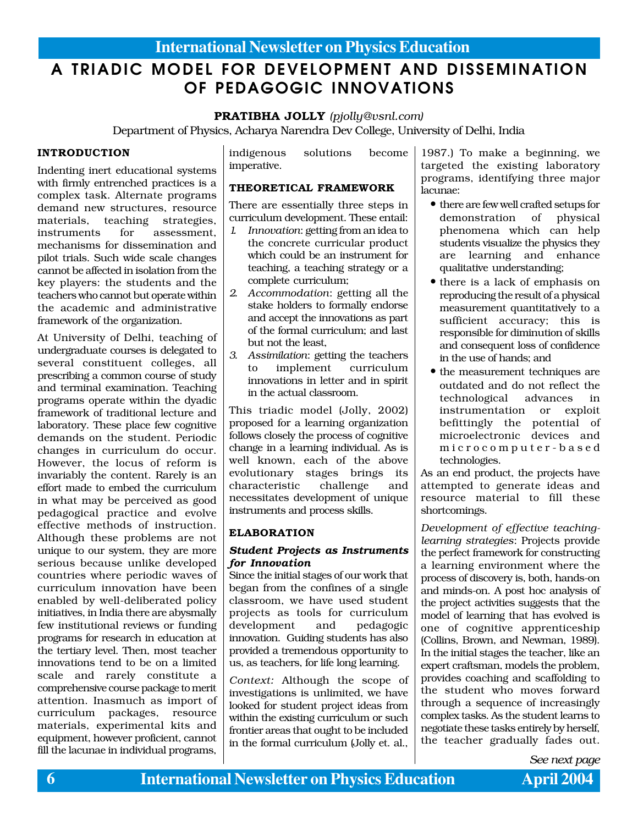# A TRIADIC MODEL FOR DEVELOPMENT AND DISSEMINATION OF PEDAGOGIC INNOVATIONS

### PRATIBHA JOLLY *(pjolly@vsnl.com)*

Department of Physics, Acharya Narendra Dev College, University of Delhi, India

### INTRODUCTION

Indenting inert educational systems with firmly entrenched practices is a complex task. Alternate programs demand new structures, resource materials, teaching strategies, instruments for assessment, mechanisms for dissemination and pilot trials. Such wide scale changes cannot be affected in isolation from the key players: the students and the teachers who cannot but operate within the academic and administrative framework of the organization.

At University of Delhi, teaching of undergraduate courses is delegated to several constituent colleges, all prescribing a common course of study and terminal examination. Teaching programs operate within the dyadic framework of traditional lecture and laboratory. These place few cognitive demands on the student. Periodic changes in curriculum do occur. However, the locus of reform is invariably the content. Rarely is an effort made to embed the curriculum in what may be perceived as good pedagogical practice and evolve effective methods of instruction. Although these problems are not unique to our system, they are more serious because unlike developed countries where periodic waves of curriculum innovation have been enabled by well-deliberated policy initiatives, in India there are abysmally few institutional reviews or funding programs for research in education at the tertiary level. Then, most teacher innovations tend to be on a limited scale and rarely constitute a comprehensive course package to merit attention. Inasmuch as import of curriculum packages, resource materials, experimental kits and equipment, however proficient, cannot fill the lacunae in individual programs,

indigenous solutions become imperative.

### THEORETICAL FRAMEWORK

There are essentially three steps in curriculum development. These entail:

- *1. Innovation*: getting from an idea to the concrete curricular product which could be an instrument for teaching, a teaching strategy or a complete curriculum;
- *2. Accommodation*: getting all the stake holders to formally endorse and accept the innovations as part of the formal curriculum; and last but not the least,
- *3. Assimilation*: getting the teachers to implement curriculum innovations in letter and in spirit in the actual classroom.

This triadic model (Jolly, 2002) proposed for a learning organization follows closely the process of cognitive change in a learning individual. As is well known, each of the above evolutionary stages brings its characteristic challenge and necessitates development of unique instruments and process skills.

### ELABORATION

### *Student Projects as Instruments for Innovation*

Since the initial stages of our work that began from the confines of a single classroom, we have used student projects as tools for curriculum development and pedagogic innovation. Guiding students has also provided a tremendous opportunity to us, as teachers, for life long learning.

*Context:* Although the scope of investigations is unlimited, we have looked for student project ideas from within the existing curriculum or such frontier areas that ought to be included in the formal curriculum (Jolly et. al.,

1987.) To make a beginning, we targeted the existing laboratory programs, identifying three major lacunae:

- there are few well crafted setups for demonstration of physical phenomena which can help students visualize the physics they are learning and enhance qualitative understanding;
- there is a lack of emphasis on reproducing the result of a physical measurement quantitatively to a sufficient accuracy; this is responsible for diminution of skills and consequent loss of confidence in the use of hands; and
- the measurement techniques are outdated and do not reflect the<br>technological advances in technological advances in instrumentation or exploit befittingly the potential of microelectronic devices and microcomputer-based technologies.

As an end product, the projects have attempted to generate ideas and resource material to fill these shortcomings.

*Development of effective teachinglearning strategies*: Projects provide the perfect framework for constructing a learning environment where the process of discovery is, both, hands-on and minds-on. A post hoc analysis of the project activities suggests that the model of learning that has evolved is one of cognitive apprenticeship (Collins, Brown, and Newman, 1989). In the initial stages the teacher, like an expert craftsman, models the problem, provides coaching and scaffolding to the student who moves forward through a sequence of increasingly complex tasks. As the student learns to negotiate these tasks entirely by herself, the teacher gradually fades out.

*See next page*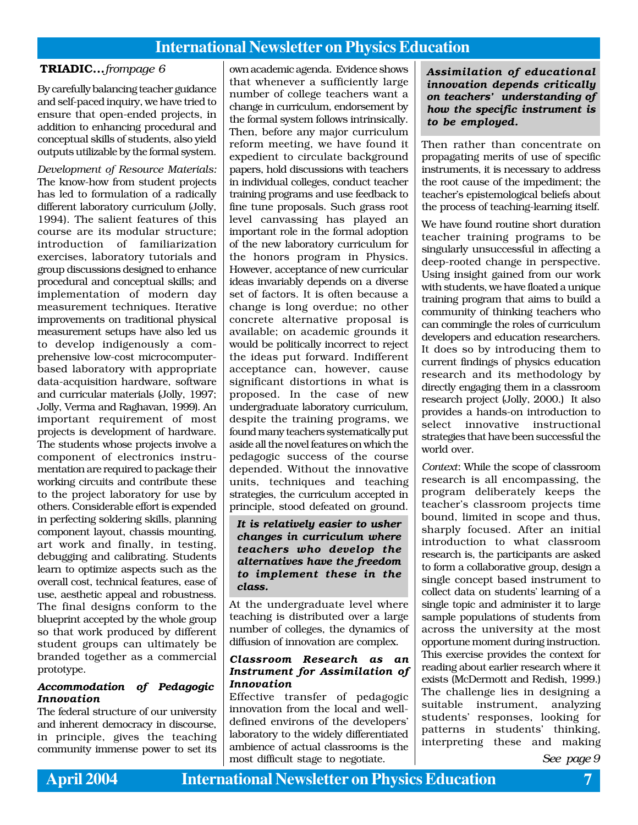By carefully balancing teacher guidance and self-paced inquiry, we have tried to ensure that open-ended projects, in addition to enhancing procedural and conceptual skills of students, also yield outputs utilizable by the formal system.

*Development of Resource Materials:* The know-how from student projects has led to formulation of a radically different laboratory curriculum (Jolly, 1994). The salient features of this course are its modular structure; introduction of familiarization exercises, laboratory tutorials and group discussions designed to enhance procedural and conceptual skills; and implementation of modern day measurement techniques. Iterative improvements on traditional physical measurement setups have also led us to develop indigenously a comprehensive low-cost microcomputerbased laboratory with appropriate data-acquisition hardware, software and curricular materials (Jolly, 1997; Jolly, Verma and Raghavan, 1999). An important requirement of most projects is development of hardware. The students whose projects involve a component of electronics instrumentation are required to package their working circuits and contribute these to the project laboratory for use by others. Considerable effort is expended in perfecting soldering skills, planning component layout, chassis mounting, art work and finally, in testing, debugging and calibrating. Students learn to optimize aspects such as the overall cost, technical features, ease of use, aesthetic appeal and robustness. The final designs conform to the blueprint accepted by the whole group so that work produced by different student groups can ultimately be branded together as a commercial prototype.

### *Accommodation of Pedagogic Innovation*

The federal structure of our university and inherent democracy in discourse, in principle, gives the teaching community immense power to set its

**TRIADIC...** *frompage 6*  $\qquad$  own academic agenda. Evidence shows that whenever a sufficiently large number of college teachers want a change in curriculum, endorsement by the formal system follows intrinsically. Then, before any major curriculum reform meeting, we have found it expedient to circulate background papers, hold discussions with teachers in individual colleges, conduct teacher training programs and use feedback to fine tune proposals. Such grass root level canvassing has played an important role in the formal adoption of the new laboratory curriculum for the honors program in Physics. However, acceptance of new curricular ideas invariably depends on a diverse set of factors. It is often because a change is long overdue; no other concrete alternative proposal is available; on academic grounds it would be politically incorrect to reject the ideas put forward. Indifferent acceptance can, however, cause significant distortions in what is proposed. In the case of new undergraduate laboratory curriculum, despite the training programs, we found many teachers systematically put aside all the novel features on which the pedagogic success of the course depended. Without the innovative units, techniques and teaching strategies, the curriculum accepted in principle, stood defeated on ground.

### *It is relatively easier to usher changes in curriculum where teachers who develop the alternatives have the freedom to implement these in the class.*

At the undergraduate level where teaching is distributed over a large number of colleges, the dynamics of diffusion of innovation are complex.

### *Classroom Research as an Instrument for Assimilation of Innovation*

Effective transfer of pedagogic innovation from the local and welldefined environs of the developers' laboratory to the widely differentiated ambience of actual classrooms is the most difficult stage to negotiate.

*Assimilation of educational innovation depends critically on teachers' understanding of how the specific instrument is to be employed.*

Then rather than concentrate on propagating merits of use of specific instruments, it is necessary to address the root cause of the impediment; the teacher's epistemological beliefs about the process of teaching-learning itself.

We have found routine short duration teacher training programs to be singularly unsuccessful in affecting a deep-rooted change in perspective. Using insight gained from our work with students, we have floated a unique training program that aims to build a community of thinking teachers who can commingle the roles of curriculum developers and education researchers. It does so by introducing them to current findings of physics education research and its methodology by directly engaging them in a classroom research project (Jolly, 2000.) It also provides a hands-on introduction to select innovative instructional strategies that have been successful the world over.

*Context*: While the scope of classroom research is all encompassing, the program deliberately keeps the teacher's classroom projects time bound, limited in scope and thus, sharply focused. After an initial introduction to what classroom research is, the participants are asked to form a collaborative group, design a single concept based instrument to collect data on students' learning of a single topic and administer it to large sample populations of students from across the university at the most opportune moment during instruction. This exercise provides the context for reading about earlier research where it exists (McDermott and Redish, 1999.) The challenge lies in designing a suitable instrument, analyzing students' responses, looking for patterns in students' thinking, interpreting these and making

*See page 9*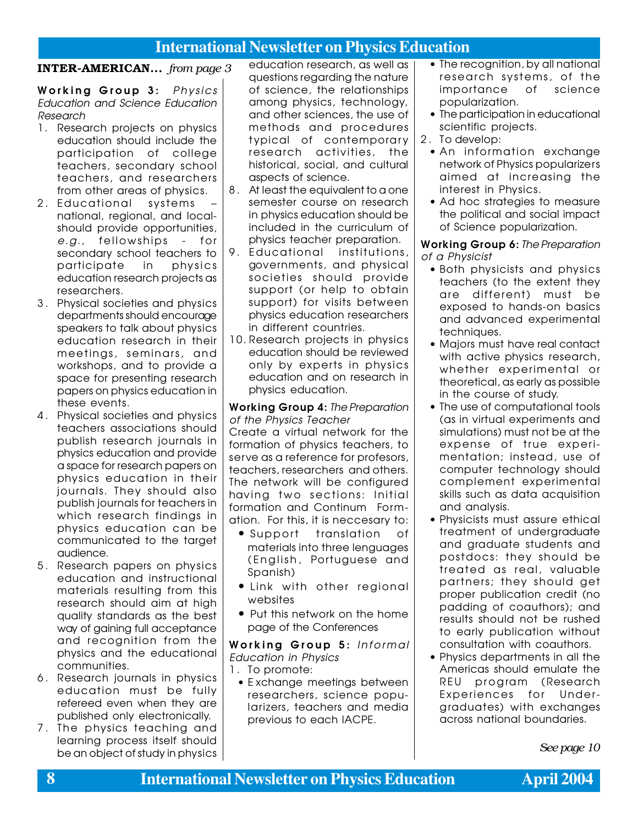### INTER-AMERICAN... *from page 3*

Working Group 3: Physics Education and Science Education Research

- 1. Research projects on physics education should include the participation of college teachers, secondary school teachers, and researchers from other areas of physics.
- 2. Educational systems national, regional, and localshould provide opportunities, e.g., fellowships - for secondary school teachers to participate in physics education research projects as researchers.
- 3 . Physical societies and physics departments should encourage speakers to talk about physics education research in their meetings, seminars, and workshops, and to provide a space for presenting research papers on physics education in these events.
- 4 . Physical societies and physics teachers associations should publish research journals in physics education and provide a space for research papers on physics education in their journals. They should also publish journals for teachers in which research findings in physics education can be communicated to the target audience.
- 5 . Research papers on physics education and instructional materials resulting from this research should aim at high quality standards as the best way of gaining full acceptance and recognition from the physics and the educational communities.
- 6 . Research journals in physics education must be fully refereed even when they are published only electronically.
- 7 . The physics teaching and learning process itself should be an object of study in physics

education research, as well as questions regarding the nature of science, the relationships among physics, technology, and other sciences, the use of methods and procedures tvpical of contemporary research activities, the historical, social, and cultural aspects of science.

- 8 . At least the equivalent to a one semester course on research in physics education should be included in the curriculum of physics teacher preparation.
- 9. Educational institutions, governments, and physical societies should provide support (or help to obtain support) for visits between physics education researchers in different countries.
- 10. Research projects in physics education should be reviewed only by experts in physics education and on research in physics education.

### Working Group 4: The Preparation of the Physics Teacher

Create a virtual network for the formation of physics teachers, to serve as a reference for profesors, teachers, researchers and others. The network will be configured having two sections: Initial formation and Continum Formation. For this, it is neccesary to:

- Support translation of materials into three lenguages (English, Portuguese and Spanish)
- Link with other regional websites
- Put this network on the home page of the Conferences

Working Group 5: Informal Education in Physics

- 1 . To promote:
- E xchange meetings between researchers, science popularizers, teachers and media previous to each IACPE.
- The recognition, by all national research systems, of the importance of science popularization.
- The participation in educational scientific projects.
- 2 . To develop:
	- An information exchange network of Physics popularizers aimed at increasing the interest in Physics.
	- Ad hoc strategies to measure the political and social impact of Science popularization.

Working Group 6: The Preparation of a Physicist

- Both physicists and physics teachers (to the extent they are different) must be exposed to hands-on basics and advanced experimental techniques.
- Majors must have real contact with active physics research, whether experimental or theoretical, as early as possible in the course of study.
- The use of computational tools (as in virtual experiments and simulations) must not be at the expense of true experimentation; instead, use of computer technology should complement experimental skills such as data acquisition and analysis.
- Physicists must assure ethical treatment of undergraduate and graduate students and postdocs: they should be treated as real, valuable partners; they should get proper publication credit (no padding of coauthors); and results should not be rushed to early publication without consultation with coauthors.
- Physics departments in all the Americas should emulate the REU program (Research Experiences for Undergraduates) with exchanges across national boundaries.

*See page 10*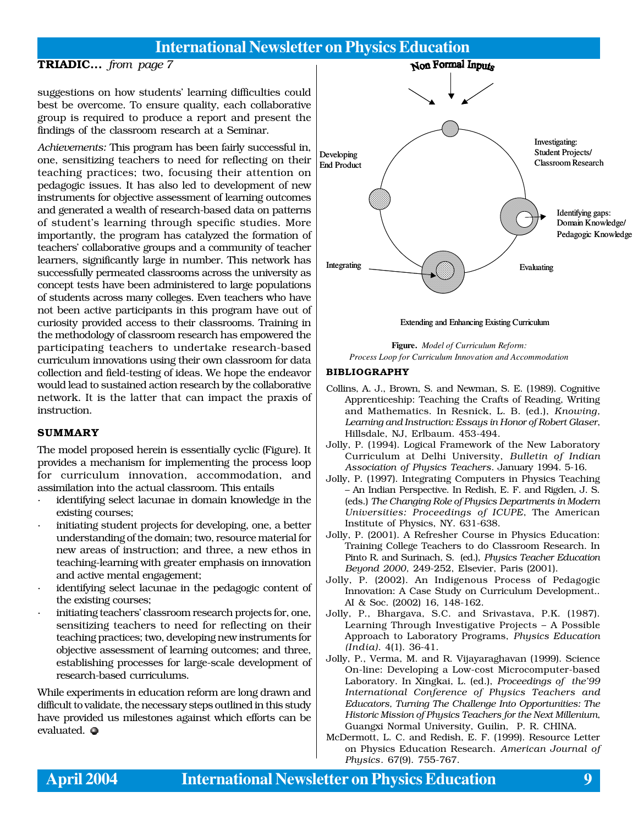### TRIADIC... *from page 7*

suggestions on how students' learning difficulties could best be overcome. To ensure quality, each collaborative group is required to produce a report and present the findings of the classroom research at a Seminar.

*Achievements:* This program has been fairly successful in, one, sensitizing teachers to need for reflecting on their teaching practices; two, focusing their attention on pedagogic issues. It has also led to development of new instruments for objective assessment of learning outcomes and generated a wealth of research-based data on patterns of student's learning through specific studies. More importantly, the program has catalyzed the formation of teachers' collaborative groups and a community of teacher learners, significantly large in number. This network has successfully permeated classrooms across the university as concept tests have been administered to large populations of students across many colleges. Even teachers who have not been active participants in this program have out of curiosity provided access to their classrooms. Training in the methodology of classroom research has empowered the participating teachers to undertake research-based curriculum innovations using their own classroom for data collection and field-testing of ideas. We hope the endeavor would lead to sustained action research by the collaborative network. It is the latter that can impact the praxis of instruction.

### SUMMARY

The model proposed herein is essentially cyclic (Figure). It provides a mechanism for implementing the process loop for curriculum innovation, accommodation, and assimilation into the actual classroom. This entails

- identifying select lacunae in domain knowledge in the existing courses;
- initiating student projects for developing, one, a better understanding of the domain; two, resource material for new areas of instruction; and three, a new ethos in teaching-learning with greater emphasis on innovation and active mental engagement;
- identifying select lacunae in the pedagogic content of the existing courses;
- initiating teachers' classroom research projects for, one, sensitizing teachers to need for reflecting on their teaching practices; two, developing new instruments for objective assessment of learning outcomes; and three, establishing processes for large-scale development of research-based curriculums.

While experiments in education reform are long drawn and difficult to validate, the necessary steps outlined in this study have provided us milestones against which efforts can be evaluated.  $\bullet$ 



Extending and Enhancing Existing Curriculum



### BIBLIOGRAPHY

- Collins, A. J., Brown, S. and Newman, S. E. (1989). Cognitive Apprenticeship: Teaching the Crafts of Reading, Writing and Mathematics. In Resnick, L. B. (ed.), *Knowing, Learning and Instruction: Essays in Honor of Robert Glaser*, Hillsdale, NJ, Erlbaum. 453-494.
- Jolly, P. (1994). Logical Framework of the New Laboratory Curriculum at Delhi University, *Bulletin of Indian Association of Physics Teachers*. January 1994. 5-16.
- Jolly, P. (1997). Integrating Computers in Physics Teaching – An Indian Perspective. In Redish, E. F. and Rigden, J. S. (eds.) *The Changing Role of Physics Departments in Modern Universities: Proceedings of ICUPE*, The American Institute of Physics, NY. 631-638.
- Jolly, P. (2001). A Refresher Course in Physics Education: Training College Teachers to do Classroom Research. In Pinto R. and Surinach, S. (ed.), *Physics Teacher Education Beyond 2000*, 249-252, Elsevier, Paris (2001).
- Jolly, P. (2002). An Indigenous Process of Pedagogic Innovation: A Case Study on Curriculum Development.. AI & Soc. (2002) 16, 148-162.
- Jolly, P., Bhargava, S.C. and Srivastava, P.K. (1987). Learning Through Investigative Projects – A Possible Approach to Laboratory Programs, *Physics Education (India)*. 4(1). 36-41.
- Jolly, P., Verma, M. and R. Vijayaraghavan (1999). Science On-line: Developing a Low-cost Microcomputer-based Laboratory. In Xingkai, L. (ed.), *Proceedings of the'99 International Conference of Physics Teachers and Educators, Turning The Challenge Into Opportunities: The Historic Mission of Physics Teachers for the Next Millenium*, Guangxi Normal University, Guilin, P. R. CHINA.
- McDermott, L. C. and Redish, E. F. (1999). Resource Letter on Physics Education Research. *American Journal of Physics*. 67(9). 755-767.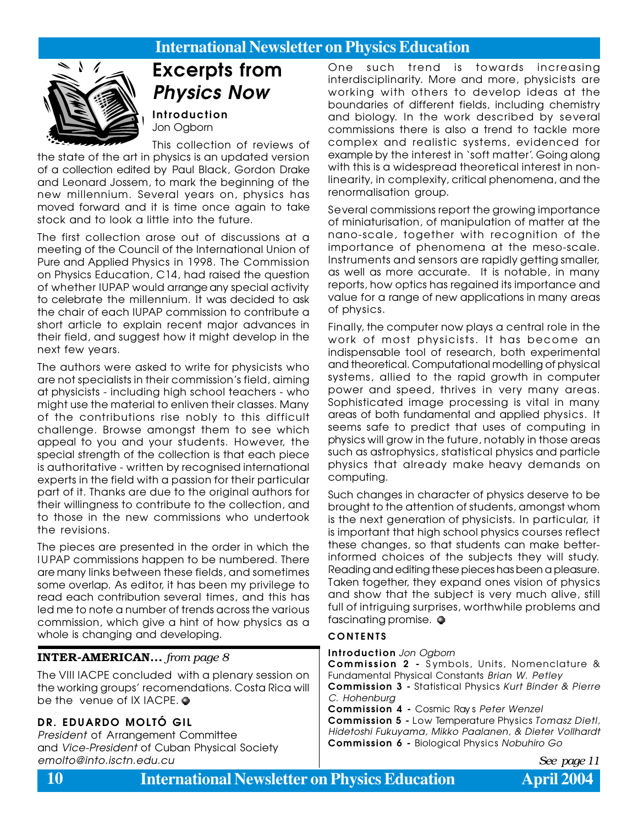

# Excerpts from Physics Now

Introduction Jon Ogborn

This collection of reviews of the state of the art in physics is an updated version of a collection edited by Paul Black, Gordon Drake and Leonard Jossem, to mark the beginning of the new millennium. Several years on, physics has moved forward and it is time once again to take stock and to look a little into the future.

The first collection arose out of discussions at a meeting of the Council of the International Union of Pure and Applied Physics in 1998. The Commission on Physics Education, C14, had raised the question of whether IUPAP would arrange any special activity to celebrate the millennium. It was decided to ask the chair of each IUPAP commission to contribute a short article to explain recent major advances in their field, and suggest how it might develop in the next few years.

The authors were asked to write for physicists who are not specialists in their commission's field, aiming at physicists - including high school teachers - who might use the material to enliven their classes. Many of the contributions rise nobly to this difficult challenge. Browse amongst them to see which appeal to you and your students. However, the special strength of the collection is that each piece is authoritative - written by recognised international experts in the field with a passion for their particular part of it. Thanks are due to the original authors for their willingness to contribute to the collection, and to those in the new commissions who undertook the revisions.

The pieces are presented in the order in which the IUPAP commissions happen to be numbered. There are many links between these fields, and sometimes some overlap. As editor, it has been my privilege to read each contribution several times, and this has led me to note a number of trends across the various commission, which give a hint of how physics as a whole is changing and developing.

### INTER-AMERICAN... *from page 8*

The VIII IACPE concluded with a plenary session on the working groups' recomendations. Costa Rica will be the venue of IX IACPE.  $\bullet$ 

### DR. EDUARDO MOLTÓ GIL

President of Arrangement Committee and Vice-President of Cuban Physical Society emolto@into.isctn.edu.cu *See page 11*

One such trend is towards increasing interdisciplinarity. More and more, physicists are working with others to develop ideas at the boundaries of different fields, including chemistry and biology. In the work described by several commissions there is also a trend to tackle more complex and realistic systems, evidenced for example by the interest in 'soft matter'. Going along with this is a widespread theoretical interest in nonlinearity, in complexity, critical phenomena, and the renormalisation group.

Several commissions report the growing importance of miniaturisation, of manipulation of matter at the nano-scale, together with recognition of the importance of phenomena at the meso-scale. Instruments and sensors are rapidly getting smaller, as well as more accurate. It is notable, in many reports, how optics has regained its importance and value for a range of new applications in many areas of physics.

Finally, the computer now plays a central role in the work of most physicists. It has become an indispensable tool of research, both experimental and theoretical. Computational modelling of physical systems, allied to the rapid growth in computer power and speed, thrives in very many areas. Sophisticated image processing is vital in many areas of both fundamental and applied physics. It seems safe to predict that uses of computing in physics will grow in the future, notably in those areas such as astrophysics, statistical physics and particle physics that already make heavy demands on computing.

Such changes in character of physics deserve to be brought to the attention of students, amongst whom is the next generation of physicists. In particular, it is important that high school physics courses reflect these changes, so that students can make betterinformed choices of the subjects they will study. Reading and editing these pieces has been a pleasure. Taken together, they expand ones vision of physics and show that the subject is very much alive, still full of intriguing surprises, worthwhile problems and fascinating promise.  $\bullet$ 

### **CONTENTS**

Introduction Jon Ogborn

Commission 2 - S ymbols, Units, Nomenclature & Fundamental Physical Constants Brian W. Petley Commission 3 - Statistical Physics Kurt Binder & Pierre C. Hohenburg

Commission 4 - Cosmic Ray s Peter Wenzel

Commission 5 - Low Temperature Physics Tomasz Dietl, Hidetoshi Fukuyama, Mikko Paalanen, & Dieter Vollhardt Commission 6 - Biological Physics Nobuhiro Go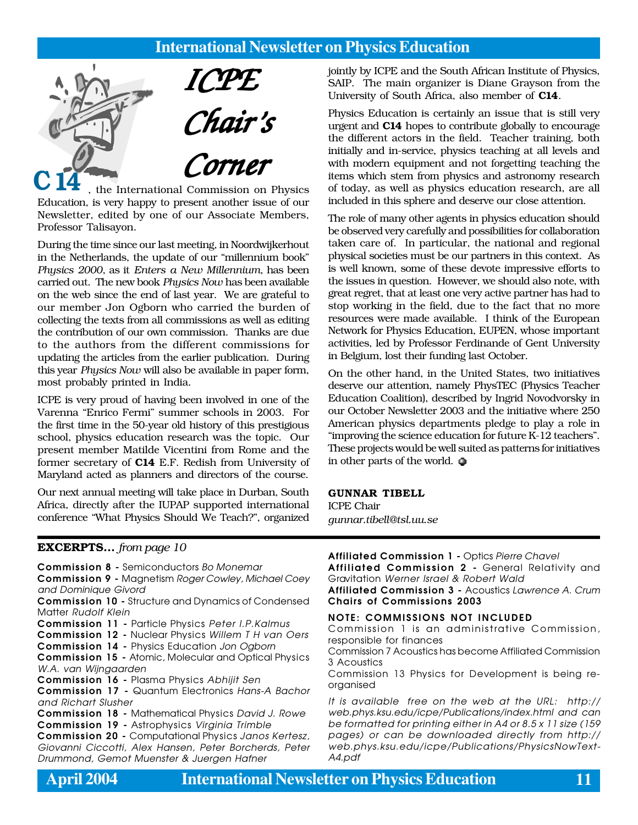

, the International Commission on Physics Education, is very happy to present another issue of our Newsletter, edited by one of our Associate Members, Professor Talisayon.

During the time since our last meeting, in Noordwijkerhout in the Netherlands, the update of our "millennium book" *Physics 2000*, as it *Enters a New Millennium*, has been carried out. The new book *Physics Now* has been available on the web since the end of last year. We are grateful to our member Jon Ogborn who carried the burden of collecting the texts from all commissions as well as editing the contribution of our own commission. Thanks are due to the authors from the different commissions for updating the articles from the earlier publication. During this year *Physics Now* will also be available in paper form, most probably printed in India.

ICPE is very proud of having been involved in one of the Varenna "Enrico Fermi" summer schools in 2003. For the first time in the 50-year old history of this prestigious school, physics education research was the topic. Our present member Matilde Vicentini from Rome and the former secretary of C14 E.F. Redish from University of Maryland acted as planners and directors of the course.

Our next annual meeting will take place in Durban, South Africa, directly after the IUPAP supported international conference "What Physics Should We Teach?", organized jointly by ICPE and the South African Institute of Physics, SAIP. The main organizer is Diane Grayson from the University of South Africa, also member of C14.

Physics Education is certainly an issue that is still very urgent and C14 hopes to contribute globally to encourage the different actors in the field. Teacher training, both initially and in-service, physics teaching at all levels and with modern equipment and not forgetting teaching the items which stem from physics and astronomy research of today, as well as physics education research, are all included in this sphere and deserve our close attention.

The role of many other agents in physics education should be observed very carefully and possibilities for collaboration taken care of. In particular, the national and regional physical societies must be our partners in this context. As is well known, some of these devote impressive efforts to the issues in question. However, we should also note, with great regret, that at least one very active partner has had to stop working in the field, due to the fact that no more resources were made available. I think of the European Network for Physics Education, EUPEN, whose important activities, led by Professor Ferdinande of Gent University in Belgium, lost their funding last October.

On the other hand, in the United States, two initiatives deserve our attention, namely PhysTEC (Physics Teacher Education Coalition), described by Ingrid Novodvorsky in our October Newsletter 2003 and the initiative where 250 American physics departments pledge to play a role in "improving the science education for future K-12 teachers". These projects would be well suited as patterns for initiatives in other parts of the world.  $\bullet$ 

### GUNNAR TIBELL

ICPE Chair *gunnar.tibell@tsl.uu.se*

### EXCERPTS... *from page 10*

Commission 8 - Semiconductors Bo Monemar

Commission 9 - Magnetism Roger Cowley, Michael Coey and Dominique Givord

Commission 10 - Structure and Dynamics of Condensed Matter Rudolf Klein

- Commission 11 Particle Physics Peter I.P.Kalmus
- Commission 12 Nuclear Physics Willem T H van Oers
- Commission 14 Physics Education Jon Ogborn

Commission 15 - Atomic, Molecular and Optical Physics W.A. van Wijngaarden

Commission 16 - Plasma Physics Abhijit Sen

Commission 17 - Quantum Electronics Hans-A Bachor and Richart Slusher

Commission 18 - Mathematical Physics David J. Rowe Commission 19 - Astrophysics Virginia Trimble

Commission 20 - Computational Physics Janos Kertesz, Giovanni Ciccotti, Alex Hansen, Peter Borcherds, Peter Drummond, Gemot Muenster & Juergen Hafner

Affiliated Commission 1 - Optics Pierre Chavel

Affiliated Commission 2 - General Relativity and Gravitation Werner Israel & Robert Wald

Affiliated Commission 3 - Acoustics Lawrence A. Crum Chairs of Commissions 2003

### NOTE: COMMISSIONS NOT INCLUDED

Commission 1 is an administrative Commission, responsible for finances

Commission 7 Acoustics has become Affiliated Commission 3 Acoustics

Commission 13 Physics for Development is being reorganised

It is available free on the web at the URL: http:// web.phys.ksu.edu/icpe/Publications/index.html and can be formatted for printing either in A4 or 8.5 x 11 size (159 pages) or can be downloaded directly from http:// web.phys.ksu.edu/icpe/Publications/PhysicsNowText-A4.pdf